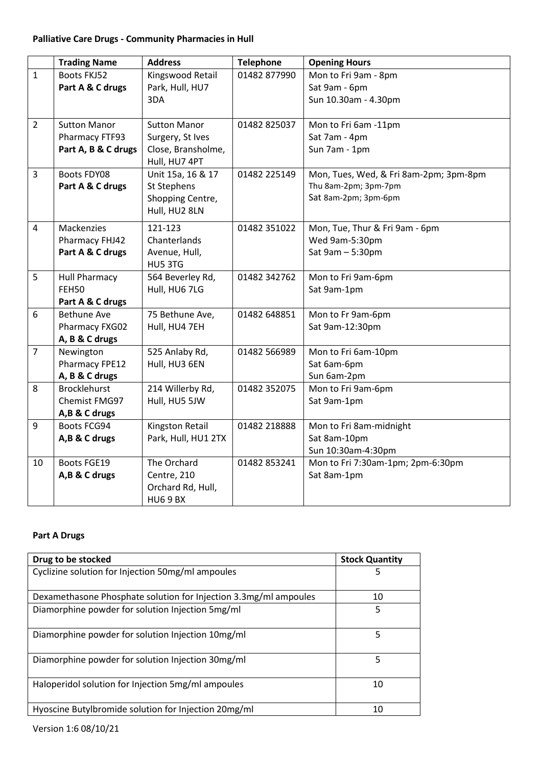## **Palliative Care Drugs - Community Pharmacies in Hull**

|                | <b>Trading Name</b>  | <b>Address</b>         | <b>Telephone</b> | <b>Opening Hours</b>                   |
|----------------|----------------------|------------------------|------------------|----------------------------------------|
| $\mathbf{1}$   | <b>Boots FKJ52</b>   | Kingswood Retail       | 01482 877990     | Mon to Fri 9am - 8pm                   |
|                | Part A & C drugs     | Park, Hull, HU7        |                  | Sat 9am - 6pm                          |
|                |                      | 3DA                    |                  | Sun 10.30am - 4.30pm                   |
|                |                      |                        |                  |                                        |
| $\overline{2}$ | <b>Sutton Manor</b>  | <b>Sutton Manor</b>    | 01482 825037     | Mon to Fri 6am -11pm                   |
|                | Pharmacy FTF93       | Surgery, St Ives       |                  | Sat 7am - 4pm                          |
|                | Part A, B & C drugs  | Close, Bransholme,     |                  | Sun 7am - 1pm                          |
|                |                      | Hull, HU7 4PT          |                  |                                        |
| $\overline{3}$ | Boots FDY08          | Unit 15a, 16 & 17      | 01482 225149     | Mon, Tues, Wed, & Fri 8am-2pm; 3pm-8pm |
|                | Part A & C drugs     | St Stephens            |                  | Thu 8am-2pm; 3pm-7pm                   |
|                |                      | Shopping Centre,       |                  | Sat 8am-2pm; 3pm-6pm                   |
|                |                      | Hull, HU2 8LN          |                  |                                        |
| $\overline{4}$ | Mackenzies           | 121-123                | 01482 351022     | Mon, Tue, Thur & Fri 9am - 6pm         |
|                | Pharmacy FHJ42       | Chanterlands           |                  | Wed 9am-5:30pm                         |
|                | Part A & C drugs     | Avenue, Hull,          |                  | Sat 9am - 5:30pm                       |
|                |                      | HU5 3TG                |                  |                                        |
| 5              | <b>Hull Pharmacy</b> | 564 Beverley Rd,       | 01482 342762     | Mon to Fri 9am-6pm                     |
|                | FEH50                | Hull, HU6 7LG          |                  | Sat 9am-1pm                            |
|                | Part A & C drugs     |                        |                  |                                        |
| 6              | <b>Bethune Ave</b>   | 75 Bethune Ave,        | 01482 648851     | Mon to Fr 9am-6pm                      |
|                | Pharmacy FXG02       | Hull, HU4 7EH          |                  | Sat 9am-12:30pm                        |
|                | A, B & C drugs       |                        |                  |                                        |
| $\overline{7}$ | Newington            | 525 Anlaby Rd,         | 01482 566989     | Mon to Fri 6am-10pm                    |
|                | Pharmacy FPE12       | Hull, HU3 6EN          |                  | Sat 6am-6pm                            |
|                | A, B & C drugs       |                        |                  | Sun 6am-2pm                            |
| 8              | <b>Brocklehurst</b>  | 214 Willerby Rd,       | 01482 352075     | Mon to Fri 9am-6pm                     |
|                | Chemist FMG97        | Hull, HU5 5JW          |                  | Sat 9am-1pm                            |
|                | A,B & C drugs        |                        |                  |                                        |
| 9              | Boots FCG94          | <b>Kingston Retail</b> | 01482 218888     | Mon to Fri 8am-midnight                |
|                | A,B & C drugs        | Park, Hull, HU1 2TX    |                  | Sat 8am-10pm                           |
|                |                      |                        |                  | Sun 10:30am-4:30pm                     |
| 10             | <b>Boots FGE19</b>   | The Orchard            | 01482 853241     | Mon to Fri 7:30am-1pm; 2pm-6:30pm      |
|                | A,B & C drugs        | Centre, 210            |                  | Sat 8am-1pm                            |
|                |                      | Orchard Rd, Hull,      |                  |                                        |
|                |                      | <b>HU69BX</b>          |                  |                                        |

## **Part A Drugs**

| Drug to be stocked                                               | <b>Stock Quantity</b> |
|------------------------------------------------------------------|-----------------------|
| Cyclizine solution for Injection 50mg/ml ampoules                | 5                     |
| Dexamethasone Phosphate solution for Injection 3.3mg/ml ampoules | 10                    |
| Diamorphine powder for solution Injection 5mg/ml                 | 5                     |
| Diamorphine powder for solution Injection 10mg/ml                | 5                     |
| Diamorphine powder for solution Injection 30mg/ml                | 5                     |
| Haloperidol solution for Injection 5mg/ml ampoules               | 10                    |
| Hyoscine Butylbromide solution for Injection 20mg/ml             | 10                    |

Version 1:6 08/10/21